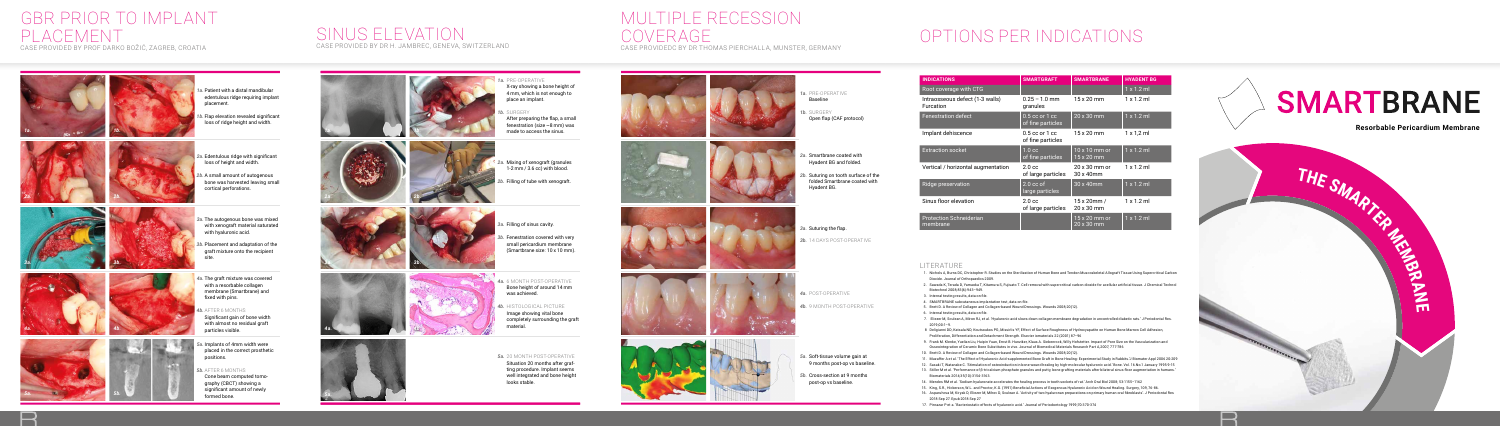

# SMARTBRANE

**Resorbable Pericardium Membrane**

- *1a.*  Patient with a distal mandibular edentulous ridge requiring implant placement.
- *1b.*  Flap elevation revealed significant loss of ridge height and width.
- *2a.* Edentulous ridge with significant loss of height and width.
- *2b.* A small amount of autogenous bone was harvested leaving small cortical perforations.
- *3a.* The autogenous bone was mixed with xenograft material saturated with hyaluronic acid.
- *3b.* Placement and adaptation of the graft mixture onto the recipient site.
- *4a.*  The graft mixture was covered with a resorbable collagen membrane (Smartbrane) and fixed with pins.
- *4b.*  AFTER 6 MONTHS Significant gain of bone width
- with almost no residual graft particles visible.
- *5a.* Implants of 4mm width were placed in the correct prosthetic positions.

#### *5b.*  AFTER 6 MONTHS

Cone beam computed tomography (CBCT) showing a significant amount of newly formed bone.











n





## GBR PRIOR TO IMPLANT PLACEMENT

CASE PROVIDED BY PROF DARKO BOŽIĆ, ZAGREB, CROATIA

### SINUS ELEVATION CASE PROVIDED BY DR H. JAMBREC, GENEVA, SWITZERLAND

















- -







*1b.* SURGERY After preparing the flap, a small fenestration (size  $\sim$ 8 mm) was made to access the sinus.

- *2a.* Mixing of xenograft (granules 1-2 mm / 3.6 cc) with blood.
- *2b.* Filling of tube with xenograft.

- 
- *3a.* Filling of sinus cavity.
- *3b.* Fenestration covered with very small pericardium membrane (Smartbrane size: 10 x 10 mm).
- *4a.*  6 MONTH POST-OPERATIVE Bone height of around 14 mm was achieved.
- *4b.*  HISTOLOGICAL PICTURE Image showing vital bone completely surrounding the graft material.

*5a.* 20 MONTH POST-OPERATIVE Situation 20 months after grafting procedure. Implant seems well integrated and bone height looks stable.

|  | 1a. PRE-OPERATIVE<br><b>Baseline</b><br>1b. SURGERY<br>Open flap (CAF protocol)                                                              |
|--|----------------------------------------------------------------------------------------------------------------------------------------------|
|  | 2a. Smartbrane coated with<br>Hyadent BG and folded.<br>2b. Suturing on tooth surface of the<br>folded Smartbrane coated with<br>Hyadent BG. |
|  | 3a. Suturing the flap.<br><b>3b.</b> 14 DAYS POST-OPERATIVE                                                                                  |
|  | 4a. POST-OPERATIVE<br>4b. 9 MONTH POST-OPERATIVE                                                                                             |

*5a.* Soft-tissue volume gain at

*5b.* Cross-section at 9 months

9 months post-op vs baseline.

post-op vs baseline.

# MULTIPLE RECESSION COVERAGE

CASE PROVIDEDC BY DR THOMAS PIERCHALLA, MUNSTER, GERMANY



- 1. Nichols A, Burns DC, Christopher R. Studies on the Sterilization of Human Bone and Tendon Muscoskeletal Allograft Tissue Using Supercritical Carbon Dioxide. Journal of Orthopaedics 2009.
- 2. Sawada K, Terada D, Yamaoka T, Kitamura S, Fujisato T. Cell removal with supercritical carbon dioxide for acellular artificial tissue. J Chemical Technol Biotechnol 2008;83(6):943–949.
- 3. Internal testing results, data on file.
- 4. SMARTBRANE subcutaneous implantation test, data on file.
- 5. Brett D. A Review of Collagen and Collagen-based Wound Dressings. Wounds 2008;20(12).
- 6. Internal testing results, data on file.
- 7. Eliezer M, Sculean A, Miron RJ, et al. 'Hyaluronic acid slows down collagen membrane degradation in uncontrolled diabetic rats.' J Periodontal Res. 2019;00:1–9.
- 8 Deligianni DD, Katsala ND, Koutsoukos PG, Missirlis YF, Effect of Surface Roughness of Hydroxyapatite on Human Bone Marrow Cell Adhesion, Proliferation, Differentiation and Detachment Strength. Elsevier iomaterials 22 (2001) 87–96
- 9. Frank M. Klenke, Yuelian Liu, Huipin Yuan, Ernst B. Hunziker, Klaus A. Siebenrock, Willy Hofstetter. Impact of Pore Size on the Vascularization and Osseointegration of Ceramic Bone Substitutes in vivo. Journal of Biomedical Materials Research Part A,2007, 777-786
- 10. Brett D. A Review of Collagen and Collagen-based Wound Dressings. Wounds 2008;20(12).
- 11. Muzaffer A et al. 'The Effect of Hyaluronic Acid-supplemented Bone Graft in Bone Healing: Experimental Study in Rabbits.'J Biomater Appl 2006 20:209
- 12. Sasaki T, Watanabe C. 'Stimulation of osteoinduction in bone wound healing by high-molecular hyaluronic acid.' Bone. Vol. 16.No.1 January 1995:9-15
- 13. Stiller M et al. 'Performance of β-tricalcium phosphate granules and putty, bone grafting materials after bilateral sinus floor augmentation in humans.' Biomaterials 2014;35(10):3154-3163.
- 14. Mendes RM et al. 'Sodium hyaluronate accelerates the healing process in tooth sockets of rat.' Arch Oral Biol 2008; 53:1155–1162
- 15. King, S.R., Hickerson, W.L. and Proctor, K.G. (1991) Beneficial Actions of Exogenous Hyaluronic Acid on Wound Healing. Surgery, 109, 76-86.
- 16. Asparuhova M, Kiryak D, Eliezer M, Mihov D, Sculean A. 'Activity of two hyaluronan preparations on primary human oral fibroblasts'. J Periodontal Res 2018 Sep 27. Epub 2018 Sep 27
- 17. Pirnazar P et a. 'Bacteriostatic effects of hyaluronic acid.' Journal of Periodontology 1999;70:370-374





H D

 $\blacksquare$ 

# OPTIONS PER INDICATIONS

| <b>INDICATIONS</b>                           | <b>SMARTGRAFT</b>                       | <b>SMARTBRANE</b>                        | <b>HYADENT BG</b> |
|----------------------------------------------|-----------------------------------------|------------------------------------------|-------------------|
| Root coverage with CTG                       |                                         |                                          | $1 \times 1.2$ ml |
| Intraosseous defect (1-3 walls)<br>Furcation | $0.25 - 1.0$ mm<br>granules             | 15 x 20 mm                               | $1 \times 1.2$ ml |
| <b>Fenestration defect</b>                   | $0.5$ cc or $1$ cc<br>of fine particles | 20 x 30 mm                               | $1 \times 1.2$ ml |
| Implant dehiscence                           | $0.5$ cc or $1$ cc<br>of fine particles | $15 \times 20$ mm                        | 1 x 1,2 ml        |
| <b>Extraction socket</b>                     | 1.0 <sub>cc</sub><br>of fine particles  | $10 \times 10$ mm or<br>15 x 20 mm       | $1 \times 1.2$ ml |
| Vertical / horizontal augmentation           | 2.0 <sub>cc</sub><br>of large particles | $20 \times 30$ mm or<br>30 x 40mm        | $1 \times 1.2$ ml |
| Ridge preservation                           | $2.0 \text{ cc of}$<br>large particles  | 30 x 40mm                                | $1 \times 1.2$ ml |
| Sinus floor elevation                        | 2.0 <sub>cc</sub><br>of large particles | $15 \times 20$ mm /<br>$20 \times 30$ mm | $1 \times 1.2$ ml |
| <b>Protection Schneiderian</b><br>membrane   |                                         | 15 x 20 mm or<br>20 x 30 mm              | $1 \times 1.2$ ml |